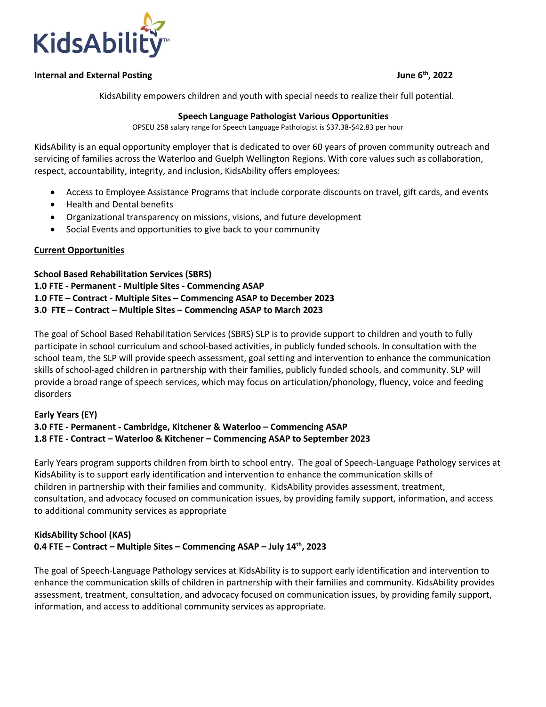

#### **Internal and External Posting June 6th, 2022**

KidsAbility empowers children and youth with special needs to realize their full potential.

#### **Speech Language Pathologist Various Opportunities**

OPSEU 258 salary range for Speech Language Pathologist is \$37.38-\$42.83 per hour

KidsAbility is an equal opportunity employer that is dedicated to over 60 years of proven community outreach and servicing of families across the Waterloo and Guelph Wellington Regions. With core values such as collaboration, respect, accountability, integrity, and inclusion, KidsAbility offers employees:

- Access to Employee Assistance Programs that include corporate discounts on travel, gift cards, and events
- Health and Dental benefits
- Organizational transparency on missions, visions, and future development
- Social Events and opportunities to give back to your community

#### **Current Opportunities**

**School Based Rehabilitation Services (SBRS) 1.0 FTE - Permanent - Multiple Sites - Commencing ASAP 1.0 FTE – Contract - Multiple Sites – Commencing ASAP to December 2023 3.0 FTE – Contract – Multiple Sites – Commencing ASAP to March 2023**

The goal of School Based Rehabilitation Services (SBRS) SLP is to provide support to children and youth to fully participate in school curriculum and school-based activities, in publicly funded schools. In consultation with the school team, the SLP will provide speech assessment, goal setting and intervention to enhance the communication skills of school-aged children in partnership with their families, publicly funded schools, and community. SLP will provide a broad range of speech services, which may focus on articulation/phonology, fluency, voice and feeding disorders

## **Early Years (EY) 3.0 FTE - Permanent - Cambridge, Kitchener & Waterloo – Commencing ASAP 1.8 FTE - Contract – Waterloo & Kitchener – Commencing ASAP to September 2023**

Early Years program supports children from birth to school entry. The goal of Speech-Language Pathology services at KidsAbility is to support early identification and intervention to enhance the communication skills of children in partnership with their families and community. KidsAbility provides assessment, treatment, consultation, and advocacy focused on communication issues, by providing family support, information, and access to additional community services as appropriate

## **KidsAbility School (KAS) 0.4 FTE – Contract – Multiple Sites – Commencing ASAP – July 14th, 2023**

The goal of Speech-Language Pathology services at KidsAbility is to support early identification and intervention to enhance the communication skills of children in partnership with their families and community. KidsAbility provides assessment, treatment, consultation, and advocacy focused on communication issues, by providing family support, information, and access to additional community services as appropriate.